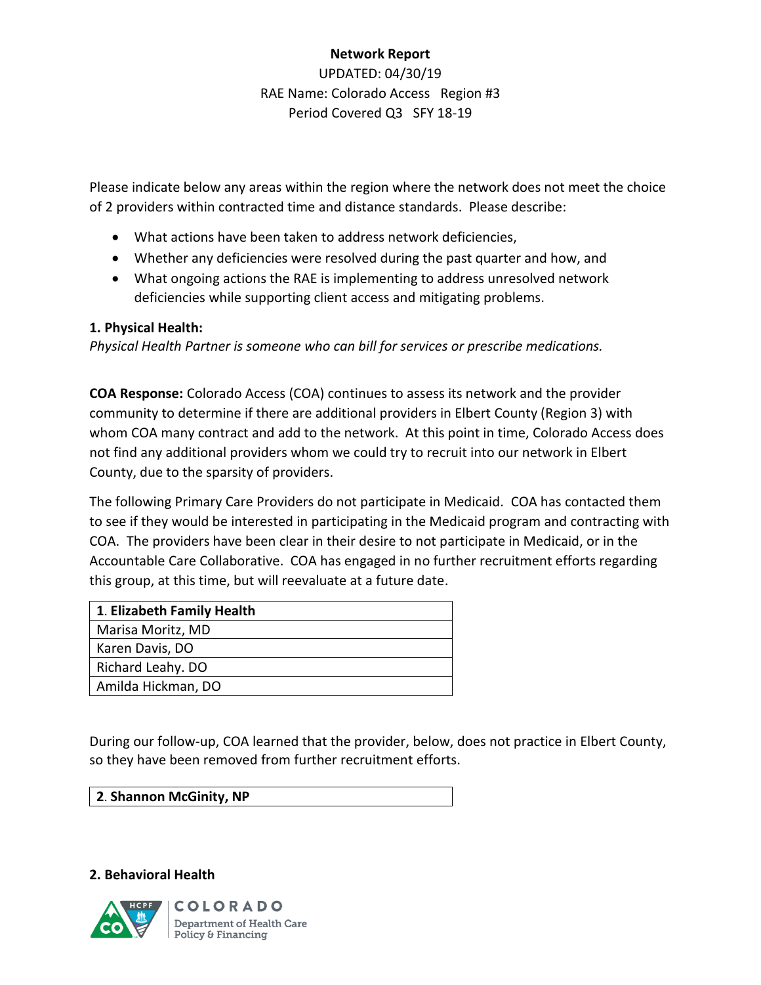# **Network Report** UPDATED: 04/30/19 RAE Name: Colorado Access Region #3 Period Covered Q3 SFY 18-19

Please indicate below any areas within the region where the network does not meet the choice of 2 providers within contracted time and distance standards. Please describe:

- What actions have been taken to address network deficiencies,
- Whether any deficiencies were resolved during the past quarter and how, and
- What ongoing actions the RAE is implementing to address unresolved network deficiencies while supporting client access and mitigating problems.

### **1. Physical Health:**

*Physical Health Partner is someone who can bill for services or prescribe medications.*

**COA Response:** Colorado Access (COA) continues to assess its network and the provider community to determine if there are additional providers in Elbert County (Region 3) with whom COA many contract and add to the network. At this point in time, Colorado Access does not find any additional providers whom we could try to recruit into our network in Elbert County, due to the sparsity of providers.

The following Primary Care Providers do not participate in Medicaid. COA has contacted them to see if they would be interested in participating in the Medicaid program and contracting with COA. The providers have been clear in their desire to not participate in Medicaid, or in the Accountable Care Collaborative. COA has engaged in no further recruitment efforts regarding this group, at this time, but will reevaluate at a future date.

| 1. Elizabeth Family Health |
|----------------------------|
| Marisa Moritz, MD          |
| Karen Davis, DO            |
| Richard Leahy. DO          |
| Amilda Hickman, DO         |

During our follow-up, COA learned that the provider, below, does not practice in Elbert County, so they have been removed from further recruitment efforts.

**2. Behavioral Health**

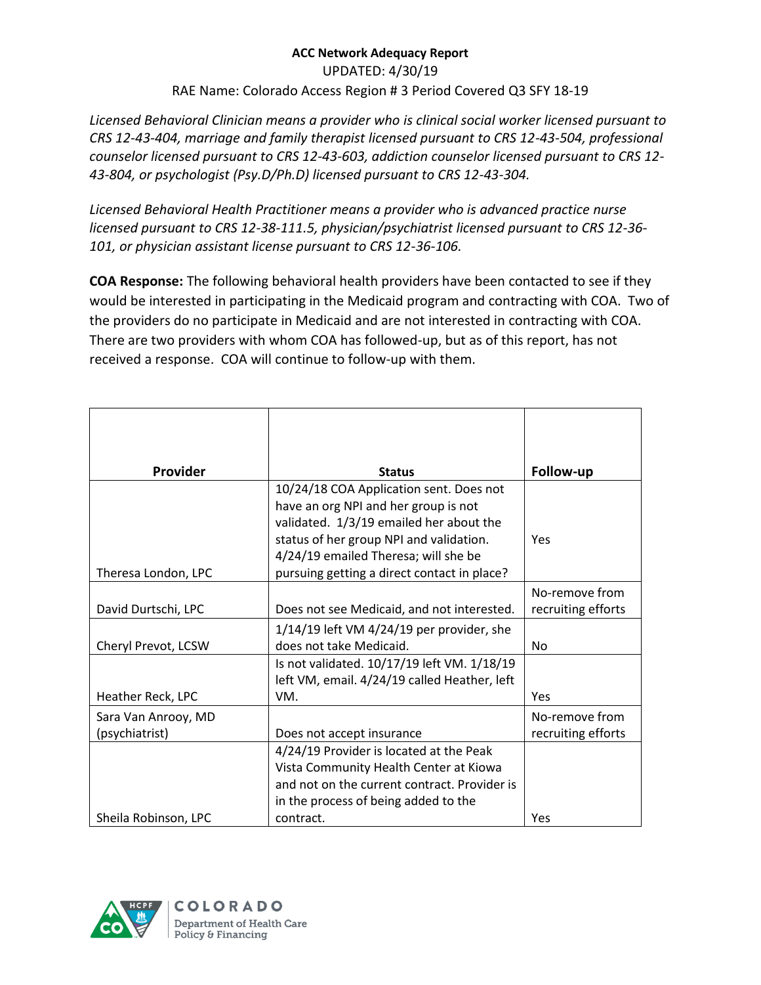UPDATED: 4/30/19

RAE Name: Colorado Access Region # 3 Period Covered Q3 SFY 18-19

*Licensed Behavioral Clinician means a provider who is clinical social worker licensed pursuant to CRS 12-43-404, marriage and family therapist licensed pursuant to CRS 12-43-504, professional counselor licensed pursuant to CRS 12-43-603, addiction counselor licensed pursuant to CRS 12- 43-804, or psychologist (Psy.D/Ph.D) licensed pursuant to CRS 12-43-304.*

*Licensed Behavioral Health Practitioner means a provider who is advanced practice nurse licensed pursuant to CRS 12-38-111.5, physician/psychiatrist licensed pursuant to CRS 12-36- 101, or physician assistant license pursuant to CRS 12-36-106.*

**COA Response:** The following behavioral health providers have been contacted to see if they would be interested in participating in the Medicaid program and contracting with COA. Two of the providers do no participate in Medicaid and are not interested in contracting with COA. There are two providers with whom COA has followed-up, but as of this report, has not received a response. COA will continue to follow-up with them.

| Provider             | <b>Status</b>                                 | Follow-up          |
|----------------------|-----------------------------------------------|--------------------|
|                      | 10/24/18 COA Application sent. Does not       |                    |
|                      | have an org NPI and her group is not          |                    |
|                      | validated. 1/3/19 emailed her about the       |                    |
|                      | status of her group NPI and validation.       | Yes                |
|                      | 4/24/19 emailed Theresa; will she be          |                    |
| Theresa London, LPC  | pursuing getting a direct contact in place?   |                    |
|                      |                                               | No-remove from     |
| David Durtschi, LPC  | Does not see Medicaid, and not interested.    | recruiting efforts |
|                      | $1/14/19$ left VM $4/24/19$ per provider, she |                    |
| Cheryl Prevot, LCSW  | does not take Medicaid.                       | <b>No</b>          |
|                      | Is not validated. 10/17/19 left VM. 1/18/19   |                    |
|                      | left VM, email. 4/24/19 called Heather, left  |                    |
| Heather Reck, LPC    | VM.                                           | Yes                |
| Sara Van Anrooy, MD  |                                               | No-remove from     |
| (psychiatrist)       | Does not accept insurance                     | recruiting efforts |
|                      | 4/24/19 Provider is located at the Peak       |                    |
|                      | Vista Community Health Center at Kiowa        |                    |
|                      | and not on the current contract. Provider is  |                    |
|                      | in the process of being added to the          |                    |
| Sheila Robinson, LPC | contract.                                     | Yes                |

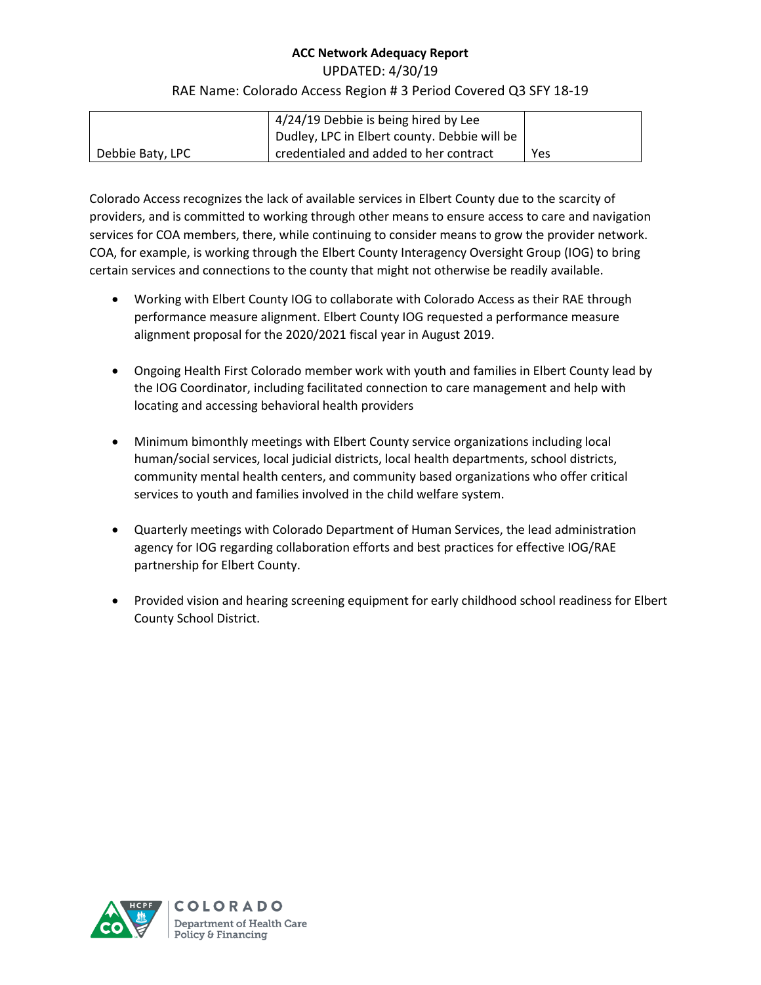UPDATED: 4/30/19

### RAE Name: Colorado Access Region # 3 Period Covered Q3 SFY 18-19

|                  | 4/24/19 Debbie is being hired by Lee         |     |
|------------------|----------------------------------------------|-----|
|                  | Dudley, LPC in Elbert county. Debbie will be |     |
| Debbie Baty, LPC | credentialed and added to her contract       | Yes |

Colorado Access recognizes the lack of available services in Elbert County due to the scarcity of providers, and is committed to working through other means to ensure access to care and navigation services for COA members, there, while continuing to consider means to grow the provider network. COA, for example, is working through the Elbert County Interagency Oversight Group (IOG) to bring certain services and connections to the county that might not otherwise be readily available.

- Working with Elbert County IOG to collaborate with Colorado Access as their RAE through performance measure alignment. Elbert County IOG requested a performance measure alignment proposal for the 2020/2021 fiscal year in August 2019.
- Ongoing Health First Colorado member work with youth and families in Elbert County lead by the IOG Coordinator, including facilitated connection to care management and help with locating and accessing behavioral health providers
- Minimum bimonthly meetings with Elbert County service organizations including local human/social services, local judicial districts, local health departments, school districts, community mental health centers, and community based organizations who offer critical services to youth and families involved in the child welfare system.
- Quarterly meetings with Colorado Department of Human Services, the lead administration agency for IOG regarding collaboration efforts and best practices for effective IOG/RAE partnership for Elbert County.
- Provided vision and hearing screening equipment for early childhood school readiness for Elbert County School District.

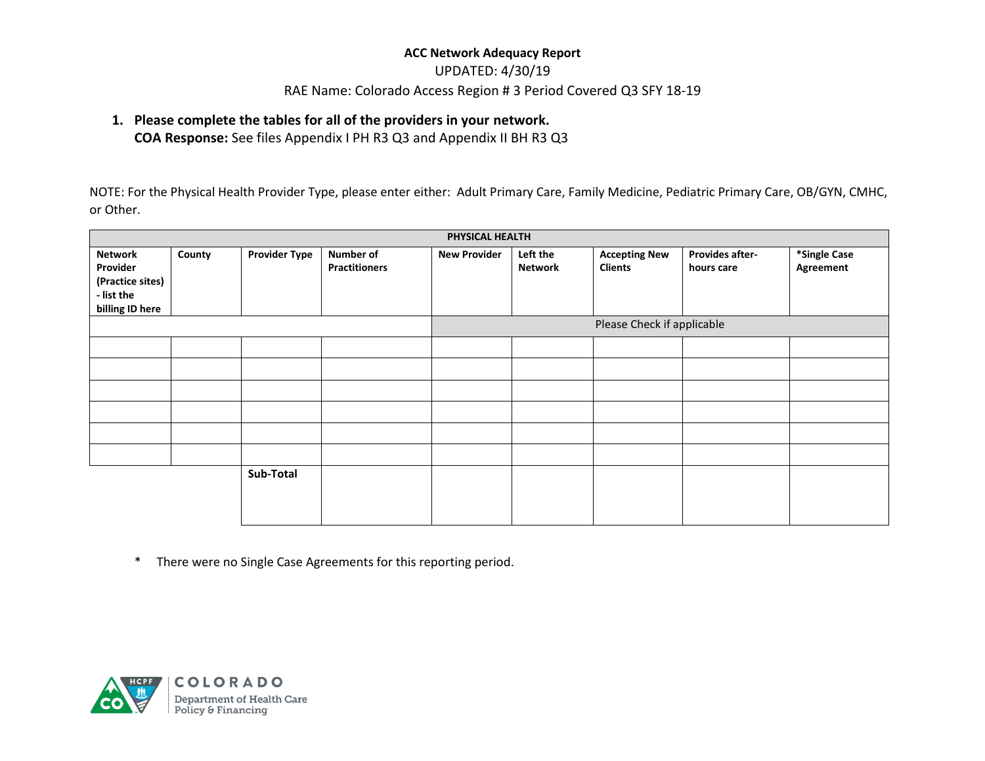### UPDATED: 4/30/19

### RAE Name: Colorado Access Region # 3 Period Covered Q3 SFY 18-19

### **1. Please complete the tables for all of the providers in your network.**

**COA Response:** See files Appendix I PH R3 Q3 and Appendix II BH R3 Q3

NOTE: For the Physical Health Provider Type, please enter either: Adult Primary Care, Family Medicine, Pediatric Primary Care, OB/GYN, CMHC, or Other.

|                                                                                 | PHYSICAL HEALTH |                      |                                          |                     |                            |                                        |                                      |                           |
|---------------------------------------------------------------------------------|-----------------|----------------------|------------------------------------------|---------------------|----------------------------|----------------------------------------|--------------------------------------|---------------------------|
| <b>Network</b><br>Provider<br>(Practice sites)<br>- list the<br>billing ID here | County          | <b>Provider Type</b> | <b>Number of</b><br><b>Practitioners</b> | <b>New Provider</b> | Left the<br><b>Network</b> | <b>Accepting New</b><br><b>Clients</b> | <b>Provides after-</b><br>hours care | *Single Case<br>Agreement |
|                                                                                 |                 |                      |                                          |                     |                            | Please Check if applicable             |                                      |                           |
|                                                                                 |                 |                      |                                          |                     |                            |                                        |                                      |                           |
|                                                                                 |                 |                      |                                          |                     |                            |                                        |                                      |                           |
|                                                                                 |                 |                      |                                          |                     |                            |                                        |                                      |                           |
|                                                                                 |                 |                      |                                          |                     |                            |                                        |                                      |                           |
|                                                                                 |                 |                      |                                          |                     |                            |                                        |                                      |                           |
|                                                                                 |                 |                      |                                          |                     |                            |                                        |                                      |                           |
|                                                                                 |                 | Sub-Total            |                                          |                     |                            |                                        |                                      |                           |

\* There were no Single Case Agreements for this reporting period.

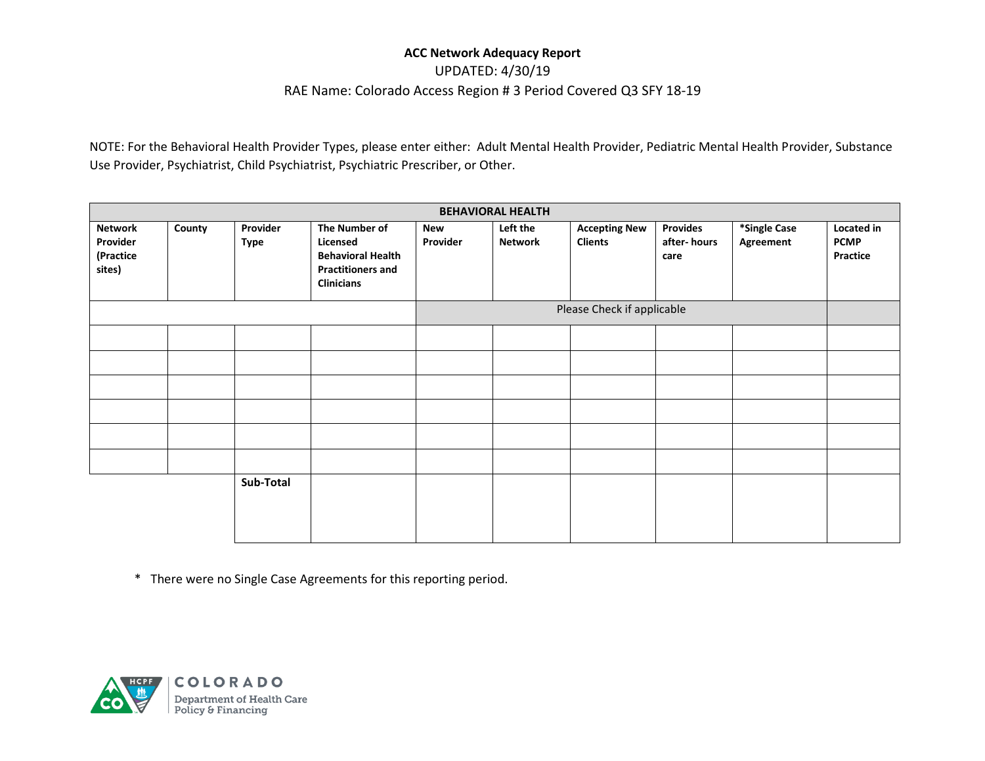UPDATED: 4/30/19

#### RAE Name: Colorado Access Region # 3 Period Covered Q3 SFY 18-19

NOTE: For the Behavioral Health Provider Types, please enter either: Adult Mental Health Provider, Pediatric Mental Health Provider, Substance Use Provider, Psychiatrist, Child Psychiatrist, Psychiatric Prescriber, or Other.

| <b>BEHAVIORAL HEALTH</b>                   |        |                         |                                                                                                        |                 |                     |                                        |                                        |                           |                                              |
|--------------------------------------------|--------|-------------------------|--------------------------------------------------------------------------------------------------------|-----------------|---------------------|----------------------------------------|----------------------------------------|---------------------------|----------------------------------------------|
| Network<br>Provider<br>(Practice<br>sites) | County | Provider<br><b>Type</b> | The Number of<br>Licensed<br><b>Behavioral Health</b><br><b>Practitioners and</b><br><b>Clinicians</b> | New<br>Provider | Left the<br>Network | <b>Accepting New</b><br><b>Clients</b> | <b>Provides</b><br>after-hours<br>care | *Single Case<br>Agreement | Located in<br><b>PCMP</b><br><b>Practice</b> |
|                                            |        |                         |                                                                                                        |                 |                     | Please Check if applicable             |                                        |                           |                                              |
|                                            |        |                         |                                                                                                        |                 |                     |                                        |                                        |                           |                                              |
|                                            |        |                         |                                                                                                        |                 |                     |                                        |                                        |                           |                                              |
|                                            |        |                         |                                                                                                        |                 |                     |                                        |                                        |                           |                                              |
|                                            |        |                         |                                                                                                        |                 |                     |                                        |                                        |                           |                                              |
|                                            |        |                         |                                                                                                        |                 |                     |                                        |                                        |                           |                                              |
|                                            |        |                         |                                                                                                        |                 |                     |                                        |                                        |                           |                                              |
|                                            |        | Sub-Total               |                                                                                                        |                 |                     |                                        |                                        |                           |                                              |

\* There were no Single Case Agreements for this reporting period.

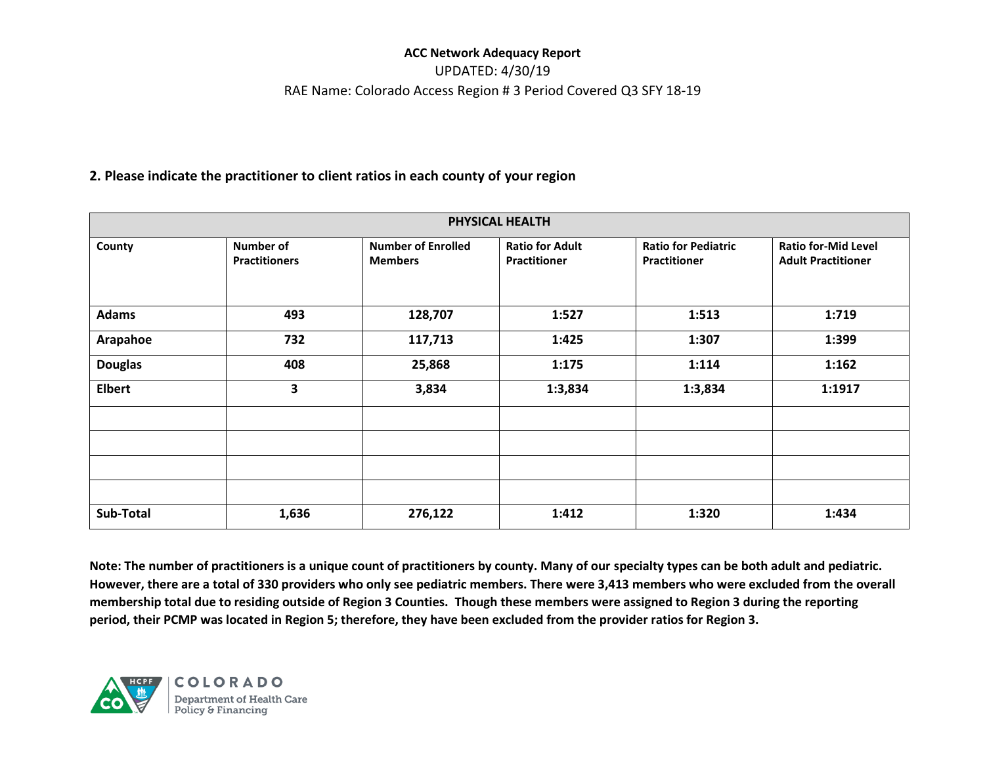# UPDATED: 4/30/19 RAE Name: Colorado Access Region # 3 Period Covered Q3 SFY 18-19

### **2. Please indicate the practitioner to client ratios in each county of your region**

| PHYSICAL HEALTH |                                   |                                             |                                        |                                                   |                                                         |  |  |
|-----------------|-----------------------------------|---------------------------------------------|----------------------------------------|---------------------------------------------------|---------------------------------------------------------|--|--|
| County          | Number of<br><b>Practitioners</b> | <b>Number of Enrolled</b><br><b>Members</b> | <b>Ratio for Adult</b><br>Practitioner | <b>Ratio for Pediatric</b><br><b>Practitioner</b> | <b>Ratio for-Mid Level</b><br><b>Adult Practitioner</b> |  |  |
| <b>Adams</b>    | 493                               | 128,707                                     | 1:527                                  | 1:513                                             | 1:719                                                   |  |  |
| Arapahoe        | 732                               | 117,713                                     | 1:425                                  | 1:307                                             | 1:399                                                   |  |  |
| <b>Douglas</b>  | 408                               | 25,868                                      | 1:175                                  | 1:114                                             | 1:162                                                   |  |  |
| <b>Elbert</b>   | 3                                 | 3,834                                       | 1:3,834                                | 1:3,834                                           | 1:1917                                                  |  |  |
|                 |                                   |                                             |                                        |                                                   |                                                         |  |  |
|                 |                                   |                                             |                                        |                                                   |                                                         |  |  |
|                 |                                   |                                             |                                        |                                                   |                                                         |  |  |
|                 |                                   |                                             |                                        |                                                   |                                                         |  |  |
| Sub-Total       | 1,636                             | 276,122                                     | 1:412                                  | 1:320                                             | 1:434                                                   |  |  |

**Note: The number of practitioners is a unique count of practitioners by county. Many of our specialty types can be both adult and pediatric. However, there are a total of 330 providers who only see pediatric members. There were 3,413 members who were excluded from the overall membership total due to residing outside of Region 3 Counties. Though these members were assigned to Region 3 during the reporting period, their PCMP was located in Region 5; therefore, they have been excluded from the provider ratios for Region 3.**



COLORADO Department of Health Care<br>Policy & Financing